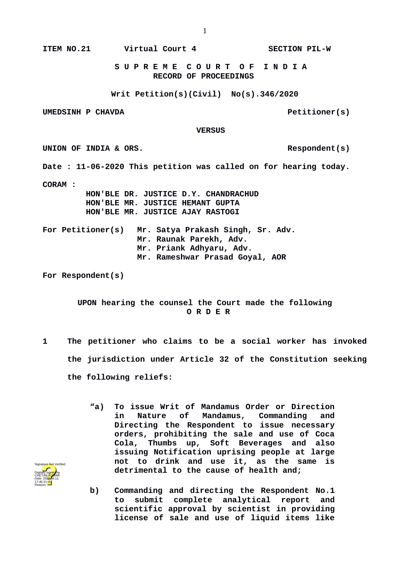**ITEM NO.21 Virtual Court 4 SECTION PIL-W**

 **S U P R E M E C O U R T O F I N D I A RECORD OF PROCEEDINGS**

**Writ Petition(s)(Civil) No(s).346/2020**

**UMEDSINH P CHAVDA PELL EXECUTE EXECUTE EXECUTE EXECUTE EXECUTE EXECUTE EXECUTE EXECUTE EXECUTE EXECUTE EXECUTE** 

 **VERSUS**

UNION OF INDIA & ORS.

**Date : 11-06-2020 This petition was called on for hearing today.**

**CORAM :** 

 **HON'BLE DR. JUSTICE D.Y. CHANDRACHUD HON'BLE MR. JUSTICE HEMANT GUPTA HON'BLE MR. JUSTICE AJAY RASTOGI**

**For Petitioner(s) Mr. Satya Prakash Singh, Sr. Adv. Mr. Raunak Parekh, Adv. Mr. Priank Adhyaru, Adv. Mr. Rameshwar Prasad Goyal, AOR**

**For Respondent(s)** 

**UPON hearing the counsel the Court made the following O R D E R**

- **1 The petitioner who claims to be a social worker has invoked the jurisdiction under Article 32 of the Constitution seeking the following reliefs:**
	- **"a) To issue Writ of Mandamus Order or Direction in Nature of Mandamus, Commanding and Directing the Respondent to issue necessary orders, prohibiting the sale and use of Coca Cola, Thumbs up, Soft Beverages and also issuing Notification uprising people at large not to drink and use it, as the same is detrimental to the cause of health and;**
	- **b) Commanding and directing the Respondent No.1 to submit complete analytical report and scientific approval by scientist in providing license of sale and use of liquid items like**

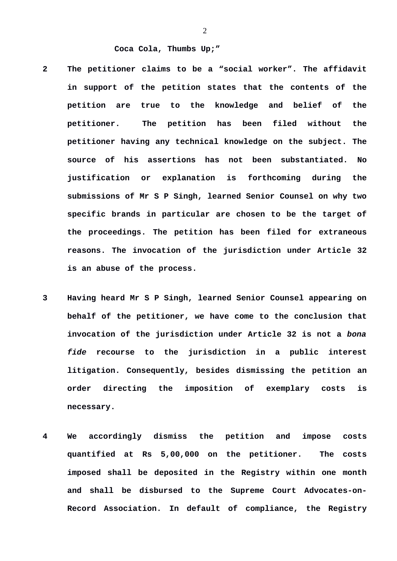## **Coca Cola, Thumbs Up;"**

- **2 The petitioner claims to be a "social worker". The affidavit in support of the petition states that the contents of the petition are true to the knowledge and belief of the petitioner. The petition has been filed without the petitioner having any technical knowledge on the subject. The source of his assertions has not been substantiated. No justification or explanation is forthcoming during the submissions of Mr S P Singh, learned Senior Counsel on why two specific brands in particular are chosen to be the target of the proceedings. The petition has been filed for extraneous reasons. The invocation of the jurisdiction under Article 32 is an abuse of the process.**
- **3 Having heard Mr S P Singh, learned Senior Counsel appearing on behalf of the petitioner, we have come to the conclusion that invocation of the jurisdiction under Article 32 is not a** *bona fide* **recourse to the jurisdiction in a public interest litigation. Consequently, besides dismissing the petition an order directing the imposition of exemplary costs is necessary.**
- **4 We accordingly dismiss the petition and impose costs quantified at Rs 5,00,000 on the petitioner. The costs imposed shall be deposited in the Registry within one month and shall be disbursed to the Supreme Court Advocates-on-Record Association. In default of compliance, the Registry**

2